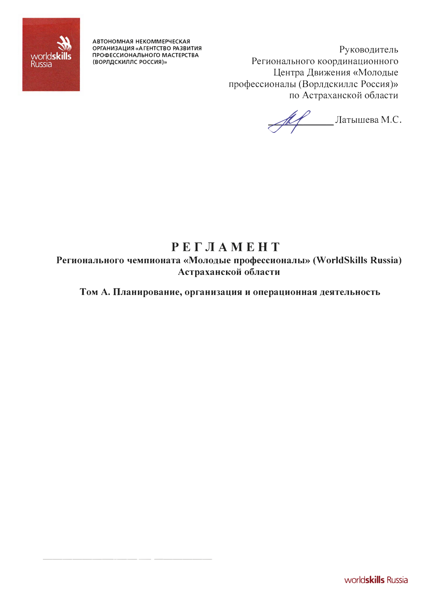

**АВТОНОМНАЯ НЕКОММЕРЧЕСКАЯ ОРГАНИЗАЦИЯ «АГЕНТСТВО РАЗВИТИЯ ПРОФЕССИОНАЛЬНОГО МАСТЕРСТВА (ВОРЛДСКИЛЛС РОССИЯ}»** 

----------- ------

Руководитель Регионального координационного Центра Движения «Молодые профессионалы (Ворлдскиллс Россия)» по Астраханской области

�'---- Латышева М.С.

# **РЕГЛАМЕНТ**

**Регионального чемпионата «Молодые профессионалы» (WorldSkills Russia) Астраханской области** 

**Том А. Планирование, организация и операционная деятельность**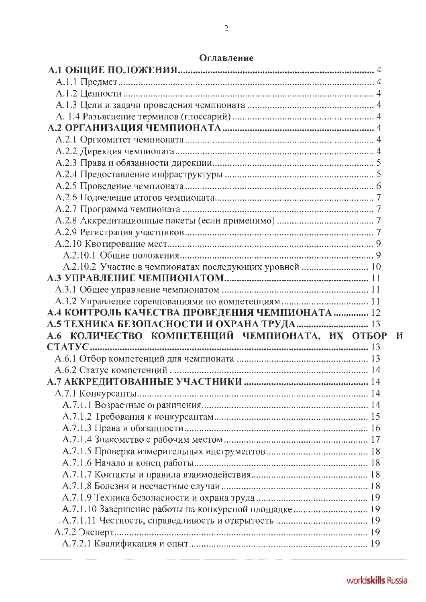| А.2.10.2 Участие в чемпионатах последующих уровней  10 |  |
|--------------------------------------------------------|--|
|                                                        |  |
|                                                        |  |
|                                                        |  |
|                                                        |  |
| А.4 КОНТРОЛЬ КАЧЕСТВА ПРОВЕДЕНИЯ ЧЕМПИОНАТА  12        |  |
| А.5 ТЕХНИКА БЕЗОПАСНОСТИ И ОХРАНА ТРУДА 13             |  |
| А.6 КОЛИЧЕСТВО КОМПЕТЕНЦИЙ ЧЕМПИОНАТА, ИХ ОТБОР И      |  |
|                                                        |  |
|                                                        |  |
|                                                        |  |
|                                                        |  |
|                                                        |  |
|                                                        |  |
|                                                        |  |
|                                                        |  |
|                                                        |  |
|                                                        |  |
|                                                        |  |
|                                                        |  |
|                                                        |  |
|                                                        |  |
| А.7.1.10 Завершение работы на конкурсной площадке 19   |  |
|                                                        |  |
|                                                        |  |

## Оглавление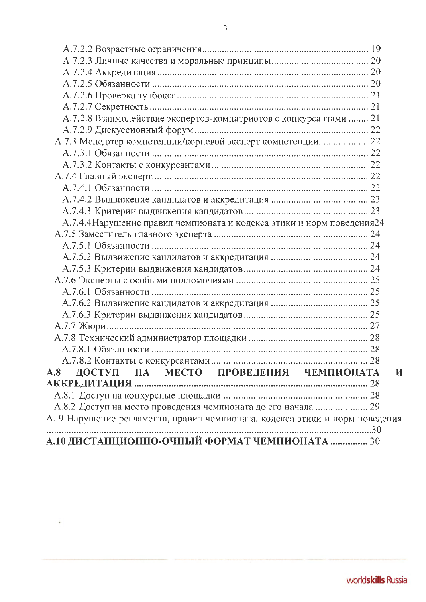| А.7.2.8 Взаимодействие экспертов-компатриотов с конкурсантами  21<br>А.7.3 Менеджер компетенции/корневой эксперт компетенции 22<br>А.7.4.4 Нарушение правил чемпионата и кодекса этики и норм поведения24<br>А.8 ДОСТУП НА МЕСТО ПРОВЕДЕНИЯ ЧЕМПИОНАТА<br>И<br>А.8.2 Доступ на место проведения чемпионата до его начала  29<br>А.10 ДИСТАНЦИОННО-ОЧНЫЙ ФОРМАТ ЧЕМПИОНАТА  30 |  |
|-------------------------------------------------------------------------------------------------------------------------------------------------------------------------------------------------------------------------------------------------------------------------------------------------------------------------------------------------------------------------------|--|
| А. 9 Нарушение регламента, правил чемпионата, кодекса этики и норм поведения                                                                                                                                                                                                                                                                                                  |  |
|                                                                                                                                                                                                                                                                                                                                                                               |  |
|                                                                                                                                                                                                                                                                                                                                                                               |  |
|                                                                                                                                                                                                                                                                                                                                                                               |  |
|                                                                                                                                                                                                                                                                                                                                                                               |  |
|                                                                                                                                                                                                                                                                                                                                                                               |  |
|                                                                                                                                                                                                                                                                                                                                                                               |  |
|                                                                                                                                                                                                                                                                                                                                                                               |  |
|                                                                                                                                                                                                                                                                                                                                                                               |  |
|                                                                                                                                                                                                                                                                                                                                                                               |  |
|                                                                                                                                                                                                                                                                                                                                                                               |  |
|                                                                                                                                                                                                                                                                                                                                                                               |  |
|                                                                                                                                                                                                                                                                                                                                                                               |  |
|                                                                                                                                                                                                                                                                                                                                                                               |  |
|                                                                                                                                                                                                                                                                                                                                                                               |  |
|                                                                                                                                                                                                                                                                                                                                                                               |  |
|                                                                                                                                                                                                                                                                                                                                                                               |  |
|                                                                                                                                                                                                                                                                                                                                                                               |  |
|                                                                                                                                                                                                                                                                                                                                                                               |  |
|                                                                                                                                                                                                                                                                                                                                                                               |  |
|                                                                                                                                                                                                                                                                                                                                                                               |  |
|                                                                                                                                                                                                                                                                                                                                                                               |  |
|                                                                                                                                                                                                                                                                                                                                                                               |  |
|                                                                                                                                                                                                                                                                                                                                                                               |  |
|                                                                                                                                                                                                                                                                                                                                                                               |  |
|                                                                                                                                                                                                                                                                                                                                                                               |  |
|                                                                                                                                                                                                                                                                                                                                                                               |  |
|                                                                                                                                                                                                                                                                                                                                                                               |  |
|                                                                                                                                                                                                                                                                                                                                                                               |  |
|                                                                                                                                                                                                                                                                                                                                                                               |  |
|                                                                                                                                                                                                                                                                                                                                                                               |  |
|                                                                                                                                                                                                                                                                                                                                                                               |  |
|                                                                                                                                                                                                                                                                                                                                                                               |  |

 $\sim$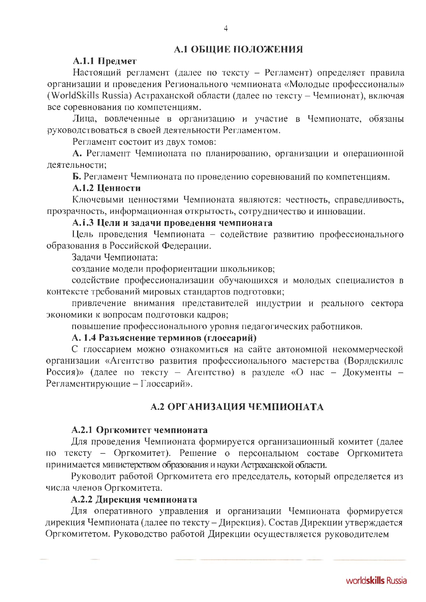# А.1 ОБЩИЕ ПОЛОЖЕНИЯ

#### А.1.1 Предмет

Настоящий регламент (далее по тексту - Регламент) определяет правила организации и проведения Регионального чемпионата «Молодые профессионалы» (WorldSkills Russia) Астраханской области (далее по тексту - Чемпионат), включая все соревнования по компетенциям.

Лица, вовлеченные в организацию и участие в Чемпионате, обязаны руководствоваться в своей деятельности Регламентом.

Регламент состоит из двух томов:

А. Регламент Чемпионата по планированию, организации и операционной деятельности;

Б. Регламент Чемпионата по проведению соревнований по компетенциям.

#### А.1.2 Ценности

Ключевыми ценностями Чемпионата являются: честность, справедливость, прозрачность, информационная открытость, сотрудничество и инновации.

## А.1.3 Цели и задачи проведення чемпионата

Цель проведения Чемпионата - содействие развитию профессионального образования в Российской Федерации.

Задачи Чемпионата:

создание модели профориентации школьников;

содействие профессионализации обучающихся и молодых специалистов в контексте требований мировых стандартов подготовки;

привлечение внимания представителей индустрии и реального сектора экономики к вопросам подготовки кадров;

повышение профессионального уровня педагогических работников.

# А. 1.4 Разъяснение терминов (глоссарий)

С глоссарием можно ознакомиться на сайте автономной некоммерческой организации «Агентство развития профессионального мастерства (Ворлдскиллс Россия)» (далее по тексту - Агентство) в разделе «О нас - Документы -Регламентирующие - Глоссарий».

# А.2 ОРГАНИЗАЦИЯ ЧЕМПИОНАТА

#### А.2.1 Оргкомитет чемпионата

Для проведения Чемпионата формируется организационный комитет (далее по тексту - Оргкомитет). Решение о персональном составе Оргкомитета принимается министерством образования и науки Астраханской области.

Руководит работой Оргкомитета его председатель, который определяется из числа членов Оргкомитета.

# А.2.2 Дирекция чемпионата

Для оперативного управления и организации Чемпионата формируется дирекция Чемпионата (далее по тексту - Дирекция). Состав Дирекции утверждается Оргкомитетом. Руководство работой Дирекции осуществляется руководителем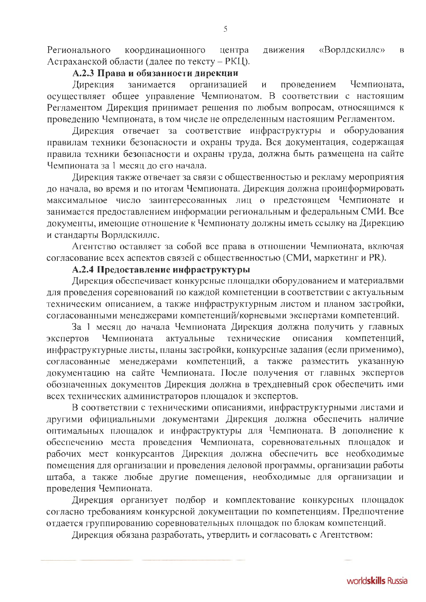«Ворлдскилле» Регионального координационного центра движения  $\overline{B}$ Астраханской области (далее по тексту - РКЦ).

# А.2.3 Права и обязанности дирекции

Дирекция занимается организацией проведением Чемпионата.  $\overline{\mathbf{M}}$ осуществляет общее управление Чемпионатом. В соответствии с настоящим Регламентом Дирекция принимает решения по любым вопросам, относящимся к проведению Чемпионата, в том числе не определенным настоящим Регламентом.

Дирекция отвечает за соответствие инфраструктуры и оборудования правилам техники безопасности и охраны труда. Вся документация, содержащая правила техники безопасности и охраны труда, должна быть размещена на сайте Чемпионата за 1 месяц до его начала.

Дирекция также отвечает за связи с общественностью и рекламу мероприятия до начала, во время и по итогам Чемпионата. Дирекция должна проинформировать максимальное число заинтересованных лиц о предстоящем Чемпионате и занимается предоставлением информации региональным и федеральным СМИ. Все документы, имеющие отношение к Чемпионату должны иметь ссылку на Дирекцию и стандарты Ворлдскиллс.

Агентство оставляет за собой все права в отношении Чемпионата, включая согласование всех аспектов связей с общественностью (СМИ, маркетинг и PR).

# А.2.4 Предоставление инфраструктуры

Дирекция обеспечивает конкурсные площадки оборудованием и материалвми для проведения соревнований по каждой компетенции в соответствии с актуальным техническим описанием, а также инфраструктурным листом и планом застройки, согласованными менеджерами компетенций/корневыми экспертами компетенций.

За 1 месяц до начала Чемпионата Дирекция должна получить у главных Чемпионата актуальные технические описания экспертов компетенций. инфраструктурные листы, планы застройки, конкурсные задания (если применимо), согласованные менеджерами компетенций, а также разместить указанную документацию на сайте Чемпионата. После получения от главных экспертов обозначенных документов Дирекция должна в трехдневный срок обеспечить ими всех технических администраторов площадок и экспертов.

В соответствии с техническими описаниями, инфраструктурными листами и другими официальными документами Дирекция должна обеспечить наличие оптимальных площадок и инфраструктуры для Чемпионата. В дополнение к обеспечению места проведения Чемпионата, соревновательных площадок и рабочих мест конкурсантов Дирекция должна обеспечить все необходимые помещения для организации и проведения деловой программы, организации работы штаба, а также любые другие помещения, необходимые для организации и проведения Чемпионата.

Дирекция организует подбор и комплектование конкурсных площадок согласно требованиям конкурсной документации по компетенциям. Предпочтение отдается группированию соревновательных площадок по блокам компетенций.

Дирекция обязана разработать, утвердить и согласовать с Агентством: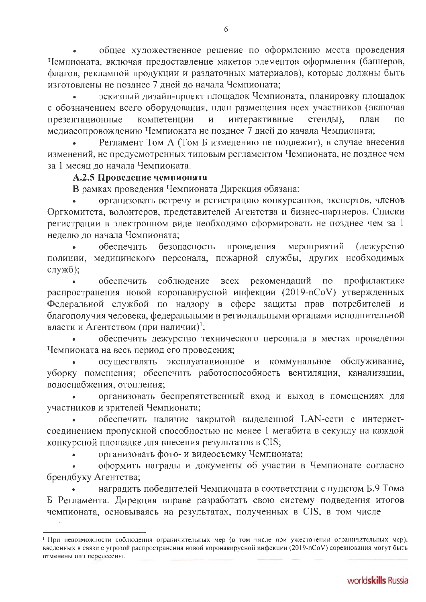общее художественное решение по оформлению места проведения Чемпионата, включая предоставление макетов элементов оформления (баннеров, флагов, рекламной продукции и раздаточных материалов), которые должны быть изготовлены не позднее 7 дней до начала Чемпионата;

эскизный дизайн-проект площадок Чемпионата, планировку площадок с обозначением всего оборудования, план размещения всех участников (включая интерактивные стенды), презентационные компетенции план  $\mathbf{M}$  $\Pi$ <sup>O</sup> медиасопровождению Чемпионата не позднее 7 дней до начала Чемпионата;

Регламент Том А (Том Б изменению не подлежит), в случае внесения изменений, не предусмотренных типовым регламентом Чемпионата, не позднее чем за 1 месяц до начала Чемпионата.

## А.2.5 Проведение чемпионата

В рамках проведения Чемпионата Дирекция обязана:

организовать встречу и регистрацию конкурсантов, экспертов, членов Оргкомитета, волонтеров, представителей Агентства и бизнес-партнеров. Списки регистрации в электронном виде необходимо сформировать не позднее чем за 1 нелелю до начала Чемпионата:

обеспечить безопасность проведения мероприятий (дежурство полиции, медицинского персонала, пожарной службы, других необходимых служб);

соблюдение всех рекомендаций по обеспечить профилактике распространения новой коронавирусной инфекции (2019-nCoV) утвержденных Федеральной службой по надзору в сфере защиты прав потребителей и благополучия человека, федеральными и региональными органами исполнительной власти и Агентством (при наличии)<sup>1</sup>;

обеспечить дежурство технического персонала в местах проведения Чемпионата на весь период его проведения;

осуществлять эксплуатационное и коммунальное обслуживание, уборку помещения; обеспечить работоспособность вентиляции, канализации, водоснабжения, отопления;

организовать беспрепятственный вход и выход в помещениях для участников и зрителей Чемпионата;

обеспечить наличие закрытой выделенной LAN-сети с интернетсоединением пропускной способностью не менее 1 мегабита в секунду на каждой конкурсной площадке для внесения результатов в CIS;

организовать фото- и видеосъемку Чемпионата;

оформить награды и документы об участии в Чемпионате согласно брендбуку Агентства;

наградить победителей Чемпионата в соответствии с пунктом Б.9 Тома Б Регламента. Дирекция вправе разработать свою систему подведения итогов чемпионата, основываясь на результатах, полученных в CIS, в том числе

При невозможности соблюдения ограничительных мер (в том числе при ужесточении ограничительных мер), введенных в связи с угрозой распространения новой коронавирусной инфекции (2019-nCoV) соревнования могут быть отменены или перенесены.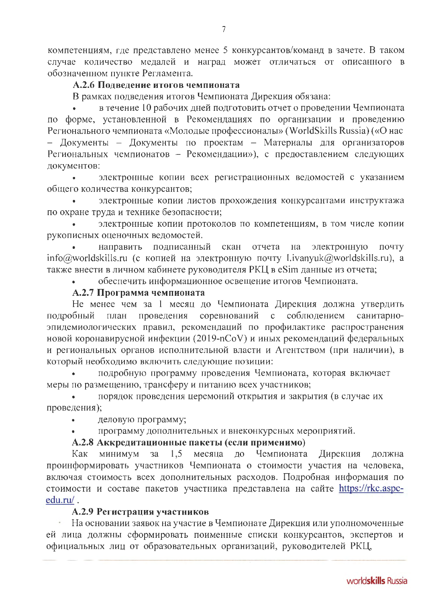компетенциям, где представлено менее 5 конкурсантов/команд в зачете. В таком случае количество медалей и наград может отличаться от описанного в обозначенном пункте Регламента.

## А.2.6 Подведение итогов чемпионата

В рамках подведения итогов Чемпионата Дирекция обязана:

в течение 10 рабочих дней подготовить отчет о проведении Чемпионата по форме, установленной в Рекомендациях по организации и проведению Регионального чемпионата «Молодые профессионалы» (WorldSkills Russia) («О нас - Документы - Документы по проектам - Материалы для организаторов Региональных чемпионатов - Рекомендации»), с предоставлением следующих документов:

электронные копии всех регистрационных ведомостей с указанием общего количества конкурсантов;

электронные копии листов прохождения конкурсантами инструктажа по охране труда и технике безопасности;

электронные копии протоколов по компетенциям, в том числе копии рукописных оценочных ведомостей.

направить подписанный скан отчета на электронную почту info@worldskills.ru (с копией на электронную почту l.ivanyuk@worldskills.ru), а также внести в личном кабинете руководителя РКЦ в eSim данные из отчета;

обеспечить информационное освещение итогов Чемпионата.

## А.2.7 Программа чемпионата

Не менее чем за 1 месяц до Чемпионата Дирекция должна утвердить с соблюдением соревнований санитарнопроведения подробный план эпидемиологических правил, рекомендаций по профилактике распространения новой коронавирусной инфекции (2019-nCoV) и иных рекомендаций федеральных и региональных органов исполнительной власти и Агентством (при наличии), в который необходимо включить следующие позиции:

подробную программу проведения Чемпионата, которая включает меры по размещению, трансферу и питанию всех участников;

порядок проведения церемоний открытия и закрытия (в случае их проведения);

деловую программу;

программу дополнительных и внеконкурсных мероприятий.

#### А.2.8 Аккредитационные пакеты (если применимо)

Как минимум  $1,5$ месяца ДО Чемпионата Дирекция  $3a$ должна проинформировать участников Чемпионата о стоимости участия на человека, включая стоимость всех дополнительных расходов. Подробная информация по стоимости и составе пакетов участника представлена на сайте https://rkc.aspcedu.ru/.

## А.2.9 Регистрация участников

На основании заявок на участие в Чемпионате Дирекция или уполномоченные ей лица должны сформировать поименные списки конкурсантов, экспертов и официальных лиц от образовательных организаций, руководителей РКЦ,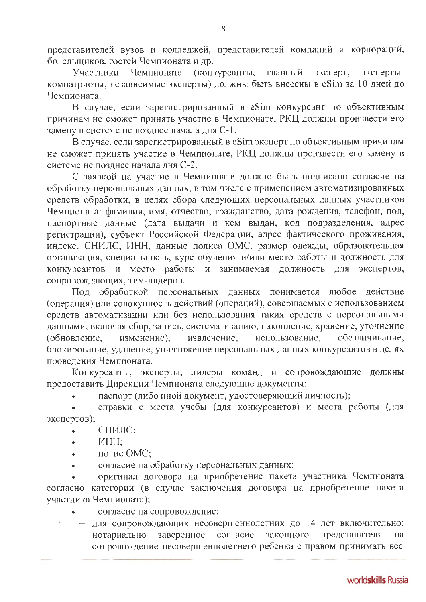представителей вузов и колледжей, представителей компаний и корпораций, болельщиков, гостей Чемпионата и др.

Чемпионата (конкурсанты, главный эксперт, эксперты-Участники компатриоты, независимые эксперты) должны быть внесены в eSim за 10 дней до Чемпионата.

В случае, если зарегистрированный в eSim конкурсант по объективным причинам не сможет принять участие в Чемпионате, РКЦ должны произвести его замену в системе не позднее начала дня С-1.

В случае, если зарегистрированный в eSim эксперт по объективным причинам не сможет принять участие в Чемпионате, РКЦ должны произвести его замену в системе не позднее начала дня С-2.

С заявкой на участие в Чемпионате должно быть подписано согласие на обработку персональных данных, в том числе с применением автоматизированных средств обработки, в целях сбора следующих персональных данных участников Чемпионата: фамилия, имя, отчество, гражданство, дата рождения, телефон, пол, паспортные данные (дата выдачи и кем выдан, код подразделения, адрес регистрации), субъект Российской Федерации, адрес фактического проживания, индекс, СНИЛС, ИНН, данные полиса ОМС, размер одежды, образовательная организация, специальность, курс обучения и/или место работы и должность для экспертов, конкурсантов и место работы и занимаемая должность для сопровождающих, тим-лидеров.

Под обработкой персональных данных понимается любое действие (операция) или совокупность действий (операций), совершаемых с использованием средств автоматизации или без использования таких средств с персональными данными, включая сбор, запись, систематизацию, накопление, хранение, уточнение использование, обезличивание, (обновление, изменение), извлечение, блокирование, удаление, уничтожение персональных данных конкурсантов в целях проведения Чемпионата.

Конкурсанты, эксперты, лидеры команд и сопровождающие должны предоставить Дирекции Чемпионата следующие документы:

паспорт (либо иной документ, удостоверяющий личность);

справки с места учебы (для конкурсантов) и места работы (для экспертов);

- СНИЛС:  $\bullet$
- ИНН;  $\bullet$
- полис ОМС;
- согласие на обработку персональных данных;

оригинал договора на приобретение пакета участника Чемпионата согласно категории (в случае заключения договора на приобретение пакета участника Чемпионата);

- согласие на сопровождение:
- для сопровождающих несовершеннолетних до 14 лет включительно: нотариально заверенное согласие законного представителя на сопровождение несовершеннолетнего ребенка с правом принимать все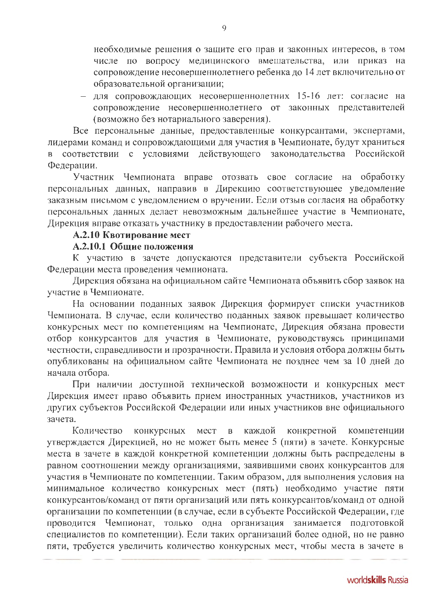необходимые решения о защите его прав и законных интересов, в том числе по вопросу медицинского вмешательства, или приказ на сопровождение несовершеннолетнего ребенка до 14 лет включительно от образовательной организации;

- для сопровождающих несовершеннолетних 15-16 лет: согласие на сопровождение несовершеннолетнего от законных представителей (возможно без нотариального заверения).

Все персональные данные, предоставленные конкурсантами, экспертами, лидерами команд и сопровождающими для участия в Чемпионате, будут храниться в соответствии с условиями действующего законодательства Российской Федерации.

Участник Чемпионата вправе отозвать свое согласие на обработку персональных данных, направив в Дирекцию соответствующее уведомление заказным письмом с уведомлением о вручении. Если отзыв согласия на обработку персональных данных делает невозможным дальнейшее участие в Чемпионате, Дирекция вправе отказать участнику в предоставлении рабочего места.

## А.2.10 Квотирование мест

#### А.2.10.1 Общие положения

К участию в зачете допускаются представители субъекта Российской Федерации места проведения чемпионата.

Дирекция обязана на официальном сайте Чемпионата объявить сбор заявок на участие в Чемпионате.

На основании поданных заявок Дирекция формирует списки участников Чемпионата. В случае, если количество поданных заявок превышает количество конкурсных мест по компетенциям на Чемпионате, Дирекция обязана провести отбор конкурсантов для участия в Чемпионате, руководствуясь принципами честности, справедливости и прозрачности. Правила и условия отбора должны быть опубликованы на официальном сайте Чемпионата не позднее чем за 10 дней до начала отбора.

При наличии доступной технической возможности и конкурсных мест Дирекция имеет право объявить прием иностранных участников, участников из других субъектов Российской Федерации или иных участников вне официального зачета.

Количество конкурсных каждой конкретной мест  $\overline{B}$ компетенции утверждается Дирекцией, но не может быть менее 5 (пяти) в зачете. Конкурсные места в зачете в каждой конкретной компетенции должны быть распределены в равном соотношении между организациями, заявившими своих конкурсантов для участия в Чемпионате по компетенции. Таким образом, для выполнения условия на минимальное количество конкурсных мест (пять) необходимо участие пяти конкурсантов/команд от пяти организаций или пять конкурсантов/команд от одной организации по компетенции (в случае, если в субъекте Российской Федерации, где проводится Чемпионат, только одна организация занимается подготовкой специалистов по компетенции). Если таких организаций более одной, но не равно пяти, требуется увеличить количество конкурсных мест, чтобы места в зачете в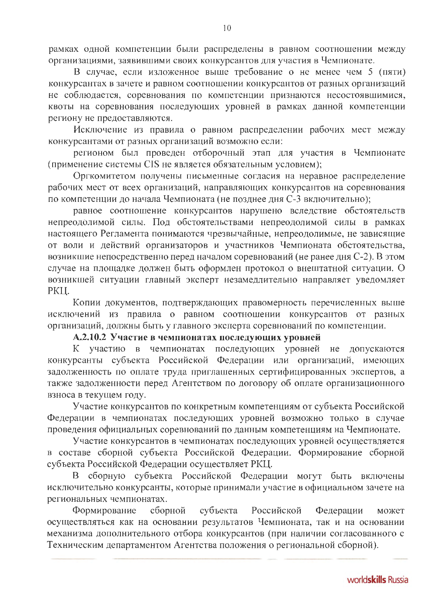рамках одной компетенции были распределены в равном соотношении между организациями, заявившими своих конкурсантов для участия в Чемпионате.

В случае, если изложенное выше требование о не менее чем 5 (пяти) конкурсантах в зачете и равном соотношении конкурсантов от разных организаций не соблюдается, соревнования по компетенции признаются несостоявшимися, квоты на соревнования последующих уровней в рамках данной компетенции региону не предоставляются.

Исключение из правила о равном распределении рабочих мест между конкурсантами от разных организаций возможно если:

регионом был проведен отборочный этап для участия в Чемпионате (применение системы CIS не является обязательным условием);

Оргкомитетом получены письменные согласия на неравное распределение рабочих мест от всех организаций, направляющих конкурсантов на соревнования по компетенции до начала Чемпионата (не позднее дня С-3 включительно);

равное соотношение конкурсантов нарушено вследствие обстоятельств непреодолимой силы. Под обстоятельствами непреодолимой силы в рамках настоящего Регламента понимаются чрезвычайные, непреодолимые, не зависящие от воли и действий организаторов и участников Чемпионата обстоятельства, возникшие непосредственно перед началом соревнований (не ранее дня С-2). В этом случае на площадке должен быть оформлен протокол о внештатной ситуации. О возникшей ситуации главный эксперт незамедлительно направляет уведомляет PKII.

Копии документов, подтверждающих правомерность перечисленных выше исключений из правила о равном соотношении конкурсантов от разных организаций, должны быть у главного эксперта соревнований по компетенции.

# А.2.10.2 Участие в чемпионатах последующих уровней

К участию в чемпионатах последующих уровней не допускаются конкурсанты субъекта Российской Федерации или организаций, имеющих задолженность по оплате труда приглашенных сертифицированных экспертов, а также задолженности перед Агентством по договору об оплате организационного взноса в текущем году.

Участие конкурсантов по конкретным компетенциям от субъекта Российской Федерации в чемпионатах последующих уровней возможно только в случае проведения официальных соревнований по данным компетенциям на Чемпионате.

Участие конкурсантов в чемпионатах последующих уровней осуществляется в составе сборной субъекта Российской Федерации. Формирование сборной субъекта Российской Федерации осуществляет РКЦ.

В сборную субъекта Российской Федерации могут быть включены исключительно конкурсанты, которые принимали участие в официальном зачете на региональных чемпионатах.

субъекта Формирование сборной Российской Федерации может осуществляться как на основании результатов Чемпионата, так и на основании механизма дополнительного отбора конкурсантов (при наличии согласованного с Техническим департаментом Агентства положения о региональной сборной).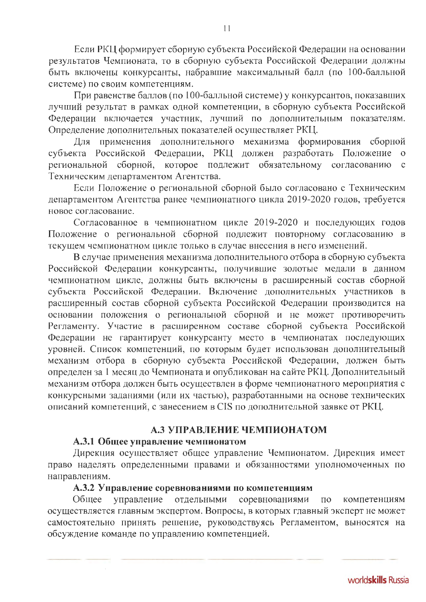Если РКЦ формирует сборную субъекта Российской Федерации на основании результатов Чемпионата, то в сборную субъекта Российской Федерации должны быть включены конкурсанты, набравшие максимальный балл (по 100-балльной системе) по своим компетенциям.

При равенстве баллов (по 100-балльной системе) у конкурсантов, показавших лучший результат в рамках одной компетенции, в сборную субъекта Российской Федерации включается участник, лучший по дополнительным показателям. Определение дополнительных показателей осуществляет РКЦ.

Для применения дополнительного механизма формирования сборной субъекта Российской Федерации, РКЦ должен разработать Положение о региональной сборной, которое подлежит обязательному согласованию  $\mathbf{C}$ Техническим департаментом Агентства.

Если Положение о региональной сборной было согласовано с Техническим департаментом Агентства ранее чемпионатного цикла 2019-2020 годов, требуется новое согласование.

Согласованное в чемпионатном цикле 2019-2020 и последующих годов Положение о региональной сборной подлежит повторному согласованию в текущем чемпионатном цикле только в случае внесения в него изменений.

В случае применения механизма дополнительного отбора в сборную субъекта Российской Федерации конкурсанты, получившие золотые медали в данном чемпионатном цикле, должны быть включены в расширенный состав сборной субъекта Российской Федерации. Включение дополнительных участников в расширенный состав сборной субъекта Российской Федерации производится на основании положения о региональной сборной и не может противоречить Регламенту. Участие в расширенном составе сборной субъекта Российской Федерации не гарантирует конкурсанту место в чемпионатах последующих уровней. Список компетенций, по которым будет использован дополнительный механизм отбора в сборную субъекта Российской Федерации, должен быть определен за 1 месяц до Чемпионата и опубликован на сайте РКЦ. Дополнительный механизм отбора должен быть осуществлен в форме чемпионатного мероприятия с конкурсными заданиями (или их частью), разработанными на основе технических описаний компетенций, с занесением в CIS по дополнительной заявке от РКЦ.

# А.3 УПРАВЛЕНИЕ ЧЕМПИОНАТОМ

#### А.3.1 Общее управление чемпионатом

Дирекция осуществляет общее управление Чемпионатом. Дирекция имеет право наделять определенными правами и обязанностями уполномоченных по направлениям.

#### А.3.2 Управление соревнованиями по компетенциям

управление отдельными Общее соревнованиями  $\Pi$ <sup>o</sup> компетенциям осуществляется главным экспертом. Вопросы, в которых главный эксперт не может самостоятельно принять решение, руководствуясь Регламентом, выносятся на обсуждение команде по управлению компетенцией.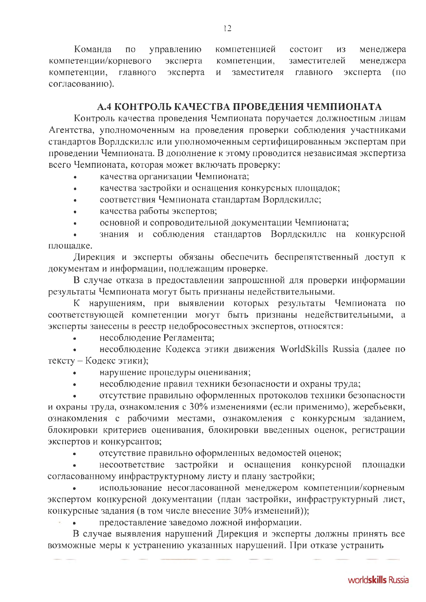Команда управлению компетенцией менеджера  $\Pi$ O состоит И3 компетенции/корневого эксперта заместителей менеджера компетенции, компетенции, главного эксперта заместителя главного эксперта  $(no)$ И согласованию).

#### А.4 КОНТРОЛЬ КАЧЕСТВА ПРОВЕДЕНИЯ ЧЕМПИОНАТА

Контроль качества проведения Чемпионата поручается должностным лицам Агентства, уполномоченным на проведения проверки соблюдения участниками стандартов Ворлдскиллс или уполномоченным сертифицированным экспертам при проведении Чемпионата. В дополнение к этому проводится независимая экспертиза всего Чемпионата, которая может включать проверку:

- качества организации Чемпионата;
- качества застройки и оснащения конкурсных площадок;  $\bullet$
- соответствия Чемпионата стандартам Ворлдскиллс;  $\bullet$
- качества работы экспертов;  $\overline{\phantom{a}}$
- основной и сопроводительной документации Чемпионата;

знания и соблюдения стандартов Ворлдскиллс на конкурсной площадке.

Дирекция и эксперты обязаны обеспечить беспрепятственный доступ к документам и информации, подлежащим проверке.

В случае отказа в предоставлении запрошенной для проверки информации результаты Чемпионата могут быть признаны недействительными.

К нарушениям, при выявлении которых результаты Чемпионата по соответствующей компетенции могут быть признаны недействительными, а эксперты занесены в реестр недобросовестных экспертов, относятся:

несоблюдение Регламента:

несоблюдение Кодекса этики движения WorldSkills Russia (далее по тексту - Кодекс этики);

- нарушение процедуры оценивания;
- несоблюдение правил техники безопасности и охраны труда;

отсутствие правильно оформленных протоколов техники безопасности и охраны труда, ознакомления с 30% изменениями (если применимо), жеребьевки, ознакомления с рабочими местами, ознакомления с конкурсным заданием, блокировки критериев оценивания, блокировки введенных оценок, регистрации экспертов и конкурсантов;

отсутствие правильно оформленных ведомостей оценок;

несоответствие застройки и оснащения конкурсной площадки согласованному инфраструктурному листу и плану застройки;

использование несогласованной менеджером компетенции/корневым экспертом конкурсной документации (план застройки, инфраструктурный лист, конкурсные задания (в том числе внесение 30% изменений));

предоставление заведомо ложной информации.

В случае выявления нарушений Дирекция и эксперты должны принять все возможные меры к устранению указанных нарушений. При отказе устранить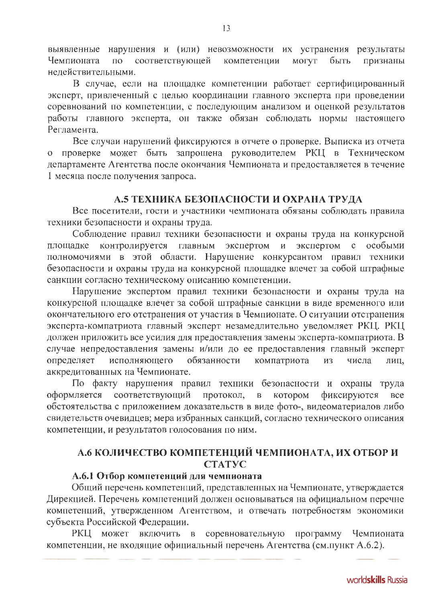выявленные нарушения и (или) невозможности их устранения результаты компетенции соответствующей **MOLAL** Чемпионата быть признаны  $\overline{10}$ недействительными.

В случае, если на площадке компетенции работает сертифицированный эксперт, привлеченный с целью координации главного эксперта при проведении соревнований по компетенции, с последующим анализом и оценкой результатов работы главного эксперта, он также обязан соблюдать нормы настоящего Регламента.

Все случаи нарушений фиксируются в отчете о проверке. Выписка из отчета проверке может быть запрошена руководителем РКЦ в Техническом департаменте Агентства после окончания Чемпионата и предоставляется в течение 1 месяца после получения запроса.

## А.5 ТЕХНИКА БЕЗОПАСНОСТИ И ОХРАНА ТРУДА

Все посетители, гости и участники чемпионата обязаны соблюдать правила техники безопасности и охраны труда.

Соблюдение правил техники безопасности и охраны труда на конкурсной контролируется главным экспертом экспертом особыми площадке  $\mathbf{H}$  $\mathbf C$ полномочиями в этой области. Нарушение конкурсантом правил техники безопасности и охраны труда на конкурсной площадке влечет за собой штрафные санкции согласно техническому описанию компетенции.

Нарушение экспертом правил техники безопасности и охраны труда на конкурсной площадке влечет за собой штрафные санкции в виде временного или окончательного его отстранения от участия в Чемпионате. О ситуации отстранения эксперта-компатриота главный эксперт незамедлительно уведомляет РКЦ. РКЦ должен приложить все усилия для предоставления замены эксперта-компатриота. В случае непредоставления замены и/или до ее предоставления главный эксперт определяет исполняющего обязанности компатриота И3 числа лиц, аккредитованных на Чемпионате.

По факту нарушения правил техники безопасности и охраны труда оформляется соответствующий протокол,  $\mathbf{B}$ котором фиксируются **BCC** обстоятельства с приложением доказательств в виде фото-, видеоматериалов либо свидетельств очевидцев; мера избранных санкций, согласно технического описания компетенции, и результатов голосования по ним.

# А.6 КОЛИЧЕСТВО КОМПЕТЕНЦИЙ ЧЕМПИОНАТА, ИХ ОТБОР И **CTATYC**

#### А.6.1 Отбор компетенций для чемпионата

Общий перечень компетенций, представленных на Чемпионате, утверждается Дирекцией. Перечень компетенций должен основываться на официальном перечне компетенций, утвержденном Агентством, и отвечать потребностям экономики субъекта Российской Федерации.

РКЦ может включить в соревновательную программу Чемпионата компетенции, не входящие официальный перечень Агентства (см.пункт А.6.2).

13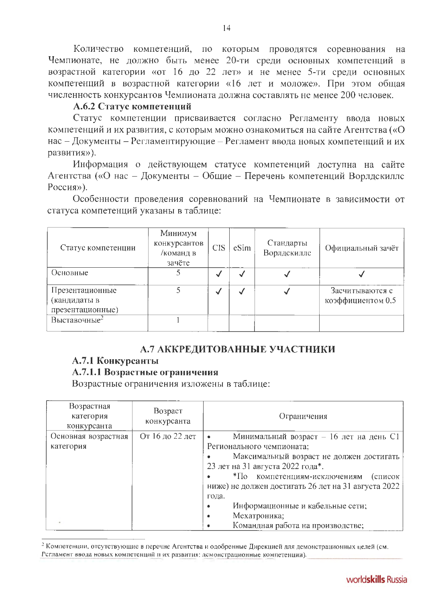Количество компетенций, по которым проводятся соревнования Ha Чемпионате, не должно быть менее 20-ти среди основных компетенций в возрастной категории «от 16 до 22 лет» и не менее 5-ти среди основных компетенций в возрастной категории «16 лет и моложе». При этом общая численность конкурсантов Чемпионата должна составлять не менее 200 человек.

## А.6.2 Статус компетенций

Статус компетенции присваивается согласно Регламенту ввода новых компетенций и их развития, с которым можно ознакомиться на сайте Агентства («О нас - Документы - Регламентирующие - Регламент ввода новых компетенций и их развития»).

Информация о действующем статусе компетенций доступна на сайте Агентства («О нас - Документы - Общие - Перечень компетенций Ворлдскиллс Россия»).

Особенности проведения соревнований на Чемпионате в зависимости от статуса компетенций указаны в таблице:

| Статус компетенции                                  | Минимум<br>конкурсантов<br>/команд в<br>зачёте | <b>CIS</b> | eSim                     | Стандарты<br>Ворлдскилле | Официальный зачёт                    |
|-----------------------------------------------------|------------------------------------------------|------------|--------------------------|--------------------------|--------------------------------------|
| Основные                                            |                                                | √          | $\overline{\phantom{a}}$ |                          |                                      |
| Презентационные<br>(кандидаты в<br>презентационные) |                                                | √          | √                        |                          | Засчитываются с<br>коэффициентом 0.5 |
| Выставочные <sup>2</sup>                            |                                                |            |                          |                          |                                      |

## А.7 АККРЕДИТОВАННЫЕ УЧАСТНИКИ

# А.7.1 Конкурсанты

# А.7.1.1 Возрастные ограничения

Возрастные ограничения изложены в таблице:

| Возрастная<br>категория<br>конкурсанта | Возраст<br>конкурсанта | Ограничения                                         |
|----------------------------------------|------------------------|-----------------------------------------------------|
| Основная возрастная                    | От 16 до 22 лет        | Минимальный возраст - 16 лет на день С1             |
| категория                              |                        | Регионального чемпионата;                           |
|                                        |                        | Максимальный возраст не должен достигать            |
|                                        |                        | 23 лет на 31 августа 2022 года*.                    |
|                                        |                        | *По компетенциям-исключениям<br>(список             |
|                                        |                        | ниже) не должен достигать 26 лет на 31 августа 2022 |
|                                        |                        | года.                                               |
|                                        |                        | Информационные и кабельные сети;                    |
|                                        |                        | Мехатроника;                                        |
|                                        |                        | Командная работа на производстве;                   |

<sup>2</sup> Компетенции, отсутствующие в перечне Агентства и одобренные Дирекцией для демонстрационных целей (см. Рсгламент ввода новых компетенций и их развития: демонстрационные компетенции).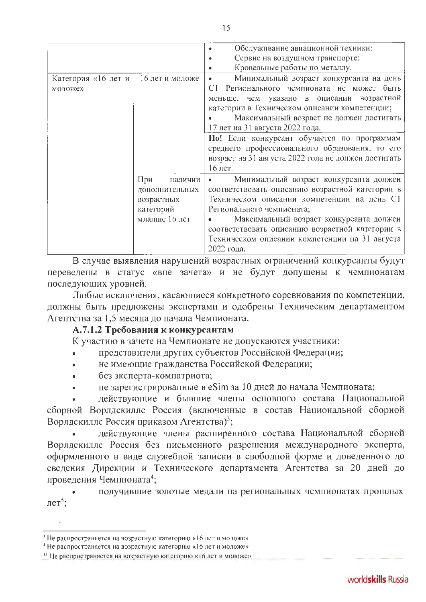| Категория «16 лет и<br>моложе» | 16 лет и моложе                                                              | Обслуживание авиационной техники;<br>$\bullet$<br>Сервис на воздушном транспорте;<br>Кровельные работы по металлу.<br>Минимальный возраст конкурсанта на день<br>۰<br>Регионального чемпионата не может быть<br>C <sub>1</sub><br>меньше, чем указано в описании возрастной<br>категории в Техническом описании компетенции;<br>Максимальный возраст не должен достигать<br>17 лет на 31 августа 2022 года.<br>Но! Если конкурсант обучается по программам<br>среднего профессионального образования, то его<br>возраст на 31 августа 2022 года не должен достигать<br>16 лет. |
|--------------------------------|------------------------------------------------------------------------------|--------------------------------------------------------------------------------------------------------------------------------------------------------------------------------------------------------------------------------------------------------------------------------------------------------------------------------------------------------------------------------------------------------------------------------------------------------------------------------------------------------------------------------------------------------------------------------|
|                                | При<br>наличии<br>дополнительных<br>возрастных<br>категорий<br>младше 16 лет | Минимальный возраст конкурсанта должен<br>соответствовать описанию возрастной категории в<br>Техническом описании компетенции на день С1<br>Регионального чемпионата;<br>Максимальный возраст конкурсанта должен<br>соответствовать описанию возрастной категории в<br>Техническом описании компетенции на 31 августа<br>2022 года.                                                                                                                                                                                                                                            |

В случае выявления нарушений возрастных ограничений конкурсанты будут переведены в статус «вне зачета» и не будут допущены к чемпионатам последующих уровней.

Любые исключения, касающиеся конкретного соревнования по компетенции, должны быть предложены экспертами и одобрены Техническим департаментом Агентства за 1,5 месяца до начала Чемпионата.

## А.7.1.2 Требования к конкурсантам

К участию в зачете на Чемпионате не допускаются участники:

- представители других субъектов Российской Федерации;
- не имеющие гражданства Российской Федерации;
- без эксперта-компатриота;
- не зарегистрированные в eSim за 10 дней до начала Чемпионата;

действующие и бывшие члены основного состава Национальной сборной Ворлдскиллс Россия (включенные в состав Национальной сборной Ворлдскиллс Россия приказом Агентства)<sup>3</sup>;

действующие члены расширенного состава Национальной сборной Ворлдскиллс Россия без письменного разрешения международного эксперта, оформленного в виде служебной записки в свободной форме и доведенного до сведения Дирекции и Технического департамента Агентства за 20 дней до проведения Чемпионата<sup>4</sup>;

получившие золотые медали на региональных чемпионатах прошлых лет<sup>5</sup>;

 $3$  Не распространяется на возрастную категорию «16 лет и моложе»

<sup>&</sup>lt;sup>4</sup> Не распространяется на возрастную категорию «16 лет и моложе»

<sup>&</sup>lt;sup>15</sup> Не распространяется на возрастную категорию «16 лет и моложе»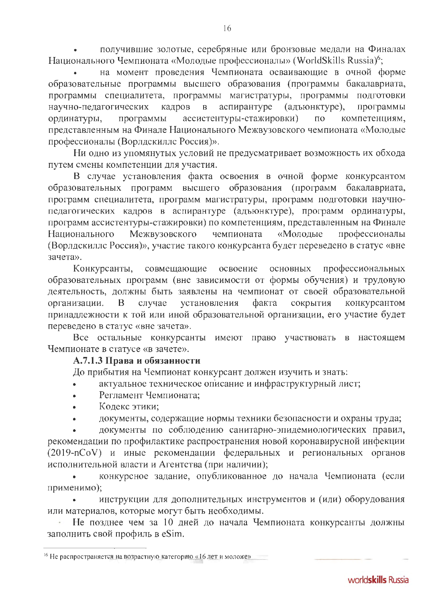получившие золотые, серебряные или бронзовые медали на Финалах Национального Чемпионата «Молодые профессионалы» (WorldSkills Russia)<sup>6</sup>;

на момент проведения Чемпионата осваивающие в очной форме образовательные программы высшего образования (программы бакалавриата, программы специалитета, программы магистратуры, программы подготовки научно-педагогических аспирантуре кадров (адъюнктуре),  $\overline{B}$ программы ассистентуры-стажировки) ординатуры, программы  $\overline{10}$ компетенциям, представленным на Финале Национального Межвузовского чемпионата «Молодые профессионалы (Ворлдскиллс Россия)».

Ни одно из упомянутых условий не предусматривает возможность их обхода путем смены компетенции для участия.

В случае установления факта освоения в очной форме конкурсантом образовательных программ высшего образования (программ бакалавриата, программ специалитета, программ магистратуры, программ подготовки научнопедагогических кадров в аспирантуре (адъюнктуре), программ ординатуры, программ ассистентуры-стажировки) по компетенциям, представленным на Финале Межвузовского Национального чемпионата «Молодые профессионалы (Ворлдскиллс Россия)», участие такого конкурсанта будет переведено в статус «вне зачета».

Конкурсанты, совмещающие освоение основных профессиональных образовательных программ (вне зависимости от формы обучения) и трудовую деятельность, должны быть заявлены на чемпионат от своей образовательной установления факта сокрытия организации.  $\mathbf{B}$ случае конкурсантом принадлежности к той или иной образовательной организации, его участие будет переведено в статус «вне зачета».

Все остальные конкурсанты имеют право участвовать в настоящем Чемпионате в статусе «в зачете».

#### А.7.1.3 Права и обязанности

До прибытия на Чемпионат конкурсант должен изучить и знать:

- актуальное техническое описание и инфраструктурный лист;  $\ddot{\phantom{a}}$
- Регламент Чемпионата:
- Кодекс этики:
- документы, содержащие нормы техники безопасности и охраны труда;

документы по соблюдению санитарно-эпидемиологических правил, рекомендации по профилактике распространения новой коронавирусной инфекции (2019-nCoV) и иные рекомендации федеральных и региональных органов исполнительной власти и Агентства (при наличии);

конкурсное задание, опубликованное до начала Чемпионата (если применимо);

инструкции для дополнительных инструментов и (или) оборудования или материалов, которые могут быть необходимы.

Не позднее чем за 10 дней до начала Чемпионата конкурсанты должны заполнить свой профиль в eSim.

<sup>&</sup>lt;sup>16</sup> Не распространяется на возрастную категорию «16 лет и моложе»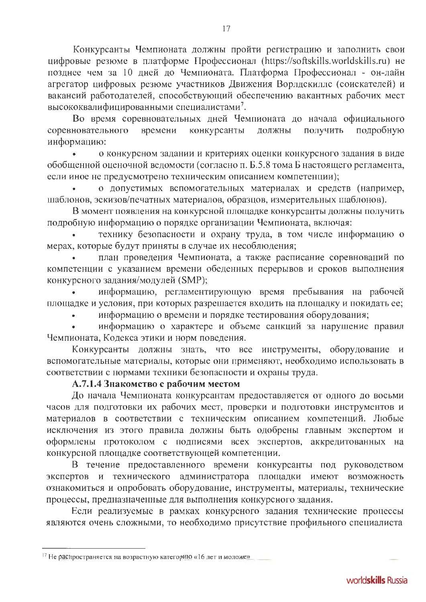Конкурсанты Чемпионата должны пройти регистрацию и заполнить свои цифровые резюме в платформе Профессионал (https://softskills.worldskills.ru) не позднее чем за 10 дней до Чемпионата. Платформа Профессионал - он-лайн агрегатор цифровых резюме участников Движения Ворлдскиллс (соискателей) и вакансий работодателей, способствующий обеспечению вакантных рабочих мест высококвалифицированными специалистами<sup>7</sup>.

Во время соревновательных дней Чемпионата до начала официального соревновательного времени конкурсанты должны получить подробную информацию:

о конкурсном задании и критериях оценки конкурсного задания в виде обобщенной оценочной ведомости (согласно п. Б.5.8 тома Б настоящего регламента, если иное не предусмотрено техническим описанием компетенции);

о допустимых вспомогательных материалах и средств (например, шаблонов, эскизов/печатных материалов, образцов, измерительных шаблонов).

В момент появления на конкурсной площадке конкурсанты должны получить подробную информацию о порядке организации Чемпионата, включая:

технику безопасности и охрану труда, в том числе информацию о мерах, которые будут приняты в случае их несоблюдения;

план проведения Чемпионата, а также расписание соревнований по компетенции с указанием времени обеденных перерывов и сроков выполнения конкурсного задания/модулей (SMP);

информацию, регламентирующую время пребывания на рабочей площадке и условия, при которых разрешается входить на площадку и покидать ее;

информацию о времени и порядке тестирования оборудования;

информацию о характере и объеме санкций за нарушение правил Чемпионата, Кодекса этики и норм поведения.

Конкурсанты должны знать, что все инструменты, оборудование и вспомогательные материалы, которые они применяют, необходимо использовать в соответствии с нормами техники безопасности и охраны труда.

#### А.7.1.4 Знакометво с рабочим местом

До начала Чемпионата конкурсантам предоставляется от одного до восьми часов для подготовки их рабочих мест, проверки и подготовки инструментов и материалов в соответствии с техническим описанием компетенций. Любые исключения из этого правила должны быть одобрены главным экспертом и оформлены протоколом с подписями всех экспертов, аккредитованных на конкурсной площадке соответствующей компетенции.

В течение предоставленного времени конкурсанты под руководством экспертов и технического администратора площадки имеют возможность ознакомиться и опробовать оборудование, инструменты, материалы, технические процессы, предназначенные для выполнения конкурсного задания.

Если реализуемые в рамках конкурсного задания технические процессы являются очень сложными, то необходимо присутствие профильного специалиста

<sup>&</sup>lt;sup>17</sup> Не распространяется на возрастную категорию «16 лет и моложе»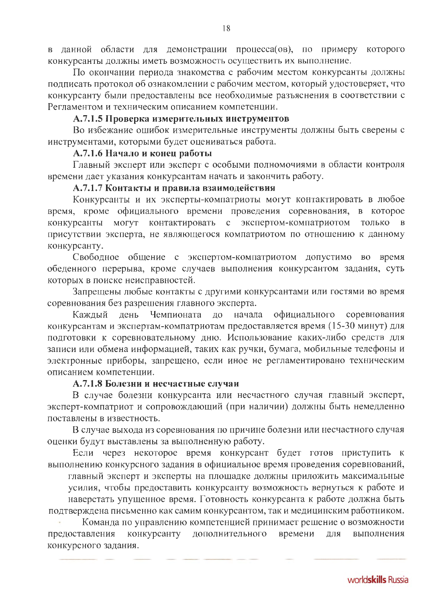в данной области для демонстрации процесса(ов), по примеру которого конкурсанты должны иметь возможность осуществить их выполнение.

По окончании периода знакомства с рабочим местом конкурсанты должны подписать протокол об ознакомлении с рабочим местом, который удостоверяет, что конкурсанту были предоставлены все необходимые разъяснения в соответствии с Регламентом и техническим описанием компетенции.

#### А.7.1.5 Проверка измерительных инструментов

Во избежание ошибок измерительные инструменты должны быть сверены с инструментами, которыми будет оцениваться работа.

## А.7.1.6 Начало и конец работы

Главный эксперт или эксперт с особыми полномочиями в области контроля времени дает указания конкурсантам начать и закончить работу.

## А.7.1.7 Контакты и правила взаимодействия

Конкурсанты и их эксперты-компатриоты могут контактировать в любое время, кроме официального времени проведения соревнования, в которое контактировать с экспертом-компатриотом конкурсанты могут только присутствии эксперта, не являющегося компатриотом по отношению к данному конкурсанту.

Свободное общение с экспертом-компатриотом допустимо во время обеденного перерыва, кроме случаев выполнения конкурсантом задания, суть которых в поиске неисправностей.

Запрещены любые контакты с другими конкурсантами или гостями во время соревнования без разрешения главного эксперта.

официального соревнования Каждый день Чемпионата до начала конкурсантам и экспертам-компатриотам предоставляется время (15-30 минут) для подготовки к соревновательному дню. Использование каких-либо средств для записи или обмена информацией, таких как ручки, бумага, мобильные телефоны и электронные приборы, запрещено, если иное не регламентировано техническим описанием компетенции.

#### А.7.1.8 Болезни и несчастные случаи

В случае болезни конкурсанта или несчастного случая главный эксперт, эксперт-компатриот и сопровождающий (при наличии) должны быть немедленно поставлены в известность.

В случае выхода из соревнования по причине болезни или несчастного случая оценки будут выставлены за выполненную работу.

Если через некоторое время конкурсант будет готов приступить к выполнению конкурсного задания в официальное время проведения соревнований,

главный эксперт и эксперты на площадке должны приложить максимальные

усилия, чтобы предоставить конкурсанту возможность вернуться к работе и наверстать упущенное время. Готовность конкурсанта к работе должна быть подтверждена письменно как самим конкурсантом, так и медицинским работником.

Команда по управлению компетенцией принимает решение о возможности конкурсанту дополнительного времени предоставления ДЛЯ выполнения конкурсного задания.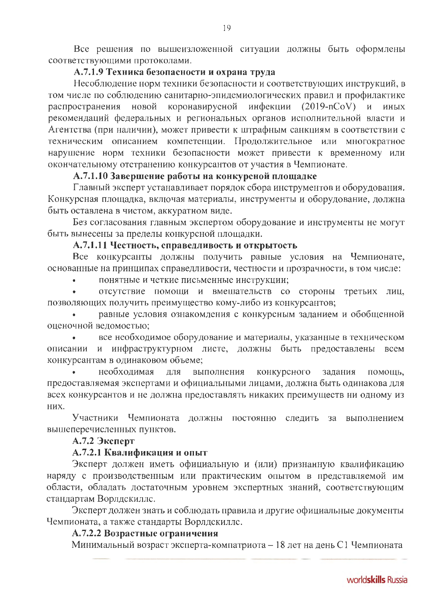Все решения по вышеизложенной ситуации должны быть оформлены соответствующими протоколами.

# А.7.1.9 Техника безопасности и охрана труда

Несоблюдение норм техники безопасности и соответствующих инструкций, в том числе по соблюдению санитарно-эпидемиологических правил и профилактике распространения новой коронавирусной инфекции (2019-nCoV) и иных рекомендаций федеральных и региональных органов исполнительной власти и Агентства (при наличии), может привести к штрафным санкциям в соответствии с техническим описанием компетенции. Продолжительное или многократное нарушение норм техники безопасности может привести к временному или окончательному отстранению конкурсантов от участия в Чемпионате.

#### А.7.1.10 Завершение работы на конкурсной площадке

Главный эксперт устанавливает порядок сбора инструментов и оборудования. Конкурсная площадка, включая материалы, инструменты и оборудование, должна быть оставлена в чистом, аккуратном виде.

Без согласования главным экспертом оборудование и инструменты не могут быть вынесены за пределы конкурсной площадки.

## А.7.1.11 Честность, справедливость и открытость

Все конкурсанты должны получить равные условия на Чемпионате, основанные на принципах справедливости, честности и прозрачности, в том числе:

понятные и четкие письменные инструкции;

отсутствие помощи и вмешательств со стороны третьих лиц, позволяющих получить преимущество кому-либо из конкурсантов;

равные условия ознакомления с конкурсным заданием и обобщенной оценочной ведомостью;

все необходимое оборудование и материалы, указанные в техническом описании и инфраструктурном листе, должны быть предоставлены всем конкурсантам в одинаковом объеме;

необходимая выполнения конкурсного ДЛЯ задания помощь, предоставляемая экспертами и официальными лицами, должна быть одинакова для всех конкурсантов и не должна предоставлять никаких преимуществ ни одному из них.

Участники Чемпионата должны постоянно следить выполнением  $3a$ вышеперечисленных пунктов.

## А.7.2 Эксперт

#### А.7.2.1 Квалификация и опыт

Эксперт должен иметь официальную и (или) признанную квалификацию наряду с производственным или практическим опытом в представляемой им области, обладать достаточным уровнем экспертных знаний, соответствующим стандартам Ворлдскиллс.

Эксперт должен знать и соблюдать правила и другие официальные документы Чемпионата, а также стандарты Ворлдскиллс.

#### А.7.2.2 Возрастные ограничения

Минимальный возраст эксперта-компатриота - 18 лет на день С1 Чемпионата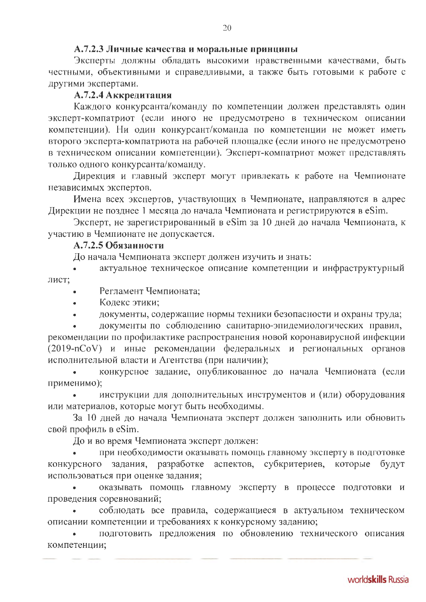#### А.7.2.3 Личные качества и моральные принципы

Эксперты должны обладать высокими нравственными качествами, быть честными, объективными и справедливыми, а также быть готовыми к работе с другими экспертами.

# А.7.2.4 Аккредитация

Каждого конкурсанта/команду по компетенции должен представлять один эксперт-компатриот (если иного не предусмотрено в техническом описании компетенции). Ни один конкурсант/команда по компетенции не может иметь второго эксперта-компатриота на рабочей площадке (если иного не предусмотрено в техническом описании компетенции). Эксперт-компатриот может представлять только одного конкурсанта/команду.

Дирекция и главный эксперт могут привлекать к работе на Чемпионате независимых экспертов.

Имена всех экспертов, участвующих в Чемпионате, направляются в адрес Дирекции не позднее 1 месяца до начала Чемпионата и регистрируются в eSim.

Эксперт, не зарегистрированный в eSim за 10 дней до начала Чемпионата, к участию в Чемпионате не допускается.

## А.7.2.5 Обязанности

До начала Чемпионата эксперт должен изучить и знать:

актуальное техническое описание компетенции и инфраструктурный лист;

- Регламент Чемпионата:
- Кодекс этики:
- документы, содержащие нормы техники безопасности и охраны труда;

документы по соблюдению санитарно-эпидемиологических правил, рекомендации по профилактике распространения новой коронавирусной инфекции (2019-nCoV) и иные рекомендации федеральных и региональных органов исполнительной власти и Агентства (при наличии);

конкурсное задание, опубликованное до начала Чемпионата (если применимо);

инструкции для дополнительных инструментов и (или) оборудования или материалов, которые могут быть необходимы.

За 10 дней до начала Чемпионата эксперт должен заполнить или обновить свой профиль в eSim.

До и во время Чемпионата эксперт должен:

при необходимости оказывать помощь главному эксперту в подготовке аспектов, субкритериев, которые конкурсного задания, разработке будут использоваться при оценке задания;

оказывать помощь главному эксперту в процессе подготовки и проведения соревнований;

соблюдать все правила, содержащиеся в актуальном техническом описании компетенции и требованиях к конкурсному заданию;

подготовить предложения по обновлению технического описания компетенции;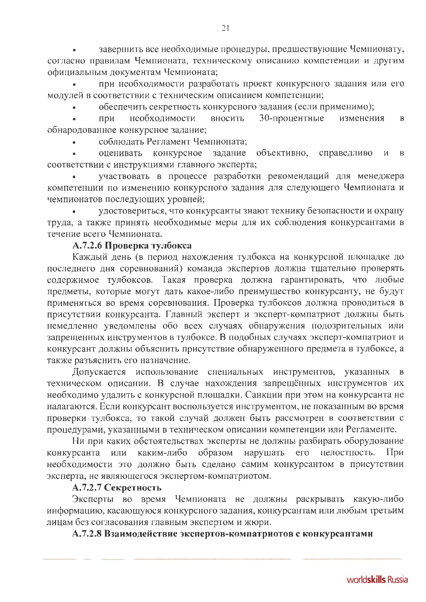завершить все необходимые процедуры, предшествующие Чемпионату, согласно правилам Чемпионата, техническому описанию компетенции и другим официальным документам Чемпионата;

при необходимости разработать проект конкурсного задания или его модулей в соответствии с техническим описанием компетенции;

обеспечить секретность конкурсного задания (если применимо);

необходимости 30-процентные при вносить изменения  $\overline{B}$ обнародованное конкурсное задание;

соблюдать Регламент Чемпионата;

оценивать конкурсное объективно. справедливо задание  $\overline{M}$  $\overline{B}$ соответствии с инструкциями главного эксперта;

участвовать в процессе разработки рекомендаций для менеджера компетенции по изменению конкурсного задания для следующего Чемпионата и чемпионатов последующих уровней;

удостовериться, что конкурсанты знают технику безопасности и охрану труда, а также принять необходимые меры для их соблюдения конкурсантами в течение всего Чемпионата.

## А.7.2.6 Проверка тулбокса

Каждый день (в период нахождения тулбокса на конкурсной площадке до последнего дня соревнований) команда экспертов должна тщательно проверять содержимое тулбоксов. Такая проверка должна гарантировать, что любые предметы, которые могут дать какое-либо преимущество конкурсанту, не будут применяться во время соревнования. Проверка тулбоксов должна проводиться в присутствии конкурсанта. Главный эксперт и эксперт-компатриот должны быть немедленно уведомлены обо всех случаях обнаружения подозрительных или запрещенных инструментов в тулбоксе. В подобных случаях эксперт-компатриот и конкурсант должны объяснить присутствие обнаруженного предмета в тулбоксе, а также разъяснить его назначение.

Допускается использование специальных инструментов, указанных в техническом описании. В случае нахождения запрещённых инструментов их необходимо удалить с конкурсной площадки. Санкции при этом на конкурсанта не налагаются. Если конкурсант воспользуется инструментом, не показанным во время проверки тулбокса, то такой случай должен быть рассмотрен в соответствии с процедурами, указанными в техническом описании компетенции или Регламенте.

Ни при каких обстоятельствах эксперты не должны разбирать оборудование нарушать каким-либо конкурсанта образом  $ero$ целостность. или При необходимости это должно быть сделано самим конкурсантом в присутствии эксперта, не являющегося экспертом-компатриотом.

#### А.7.2.7 Секретность

Эксперты во время Чемпионата не должны раскрывать какую-либо информацию, касающуюся конкурсного задания, конкурсантам или любым третьим лицам без согласования главным экспертом и жюри.

А.7.2.8 Взаимодействие экспертов-компатриотов с конкурсантами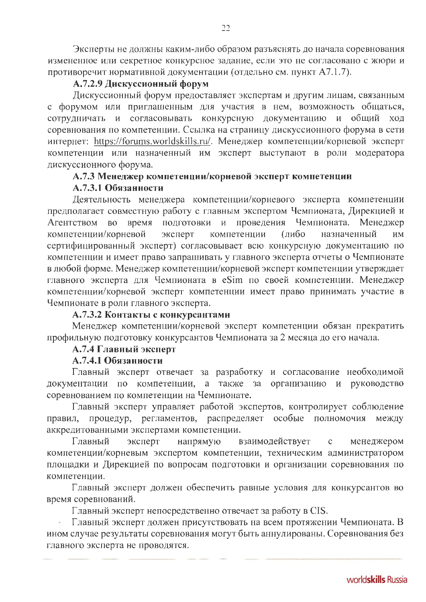Эксперты не должны каким-либо образом разъяснять до начала соревнования измененное или секретное конкурсное задание, если это не согласовано с жюри и противоречит нормативной документации (отдельно см. пункт А7.1.7).

## А.7.2.9 Дискуссионный форум

Дискуссионный форум предоставляет экспертам и другим лицам, связанным с форумом или приглашенным для участия в нем, возможность общаться, согласовывать конкурсную документацию и общий ход сотрудничать и соревнования по компетенции. Ссылка на страницу дискуссионного форума в сети интернет: https://forums.worldskills.ru/. Менеджер компетенции/корневой эксперт компетенции или назначенный им эксперт выступают в роли модератора дискуссионного форума.

# А.7.3 Менеджер компетенции/корневой эксперт компетенции

## А.7.3.1 Обязанности

Деятельность менеджера компетенции/корневого эксперта компетенции предполагает совместную работу с главным экспертом Чемпионата, Дирекцией и подготовки  $\mathbf{H}$ проведения Чемпионата. Менеджер Агентством **BO** время компетенции/корневой эксперт компетенции (либо назначенный ИM сертифицированный эксперт) согласовывает всю конкурсную документацию по компетенции и имеет право запрашивать у главного эксперта отчеты о Чемпионате в любой форме. Менеджер компетенции/корневой эксперт компетенции утверждает главного эксперта для Чемпионата в eSim по своей компетенции. Менеджер компетенции/корневой эксперт компетенции имеет право принимать участие в Чемпионате в роли главного эксперта.

#### А.7.3.2 Контакты с конкурсантами

Менеджер компетенции/корневой эксперт компетенции обязан прекратить профильную подготовку конкурсантов Чемпионата за 2 месяца до его начала.

## А.7.4 Главный эксперт

## А.7.4.1 Обязанности

Главный эксперт отвечает за разработку и согласование необходимой документации по компетенции, а также организацию и руководство  $3a$ соревнованием по компетенции на Чемпионате.

Главный эксперт управляет работой экспертов, контролирует соблюдение правил, процедур, регламентов, распределяет особые полномочия между аккредитованными экспертами компетенции.

Главный эксперт напрямую взаимодействует  $\mathbf{C}$ менеджером компетенции/корневым экспертом компетенции, техническим администратором площадки и Дирекцией по вопросам подготовки и организации соревнования по компетенции.

Главный эксперт должен обеспечить равные условия для конкурсантов во время соревнований.

Главный эксперт непосредственно отвечает за работу в CIS.

Главный эксперт должен присутствовать на всем протяжении Чемпионата. В ином случае результаты соревнования могут быть аннулированы. Соревнования без главного эксперта не проводятся.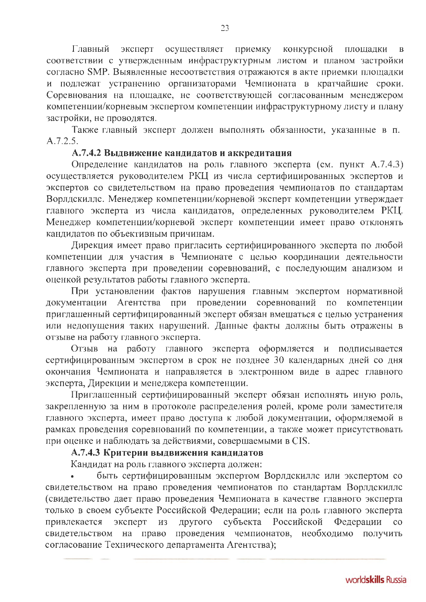Главный эксперт осуществляет приемку конкурсной площадки  $\overline{B}$ соответствии с утвержденным инфраструктурным листом и планом застройки согласно SMP. Выявленные несоответствия отражаются в акте приемки площадки и подлежат устранению организаторами Чемпионата в кратчайшие сроки. Соревнования на площадке, не соответствующей согласованным менеджером компетенции/корневым экспертом компетенции инфраструктурному листу и плану застройки, не проводятся.

Также главный эксперт должен выполнять обязанности, указанные в п.  $A.7.2.5.$ 

## А.7.4.2 Выдвижение кандидатов и аккредитация

Определение кандидатов на роль главного эксперта (см. пункт А.7.4.3) осуществляется руководителем РКЦ из числа сертифицированных экспертов и экспертов со свидетельством на право проведения чемпионатов по стандартам Ворлдскиллс. Менеджер компетенции/корневой эксперт компетенции утверждает главного эксперта из числа кандидатов, определенных руководителем РКЦ. Менеджер компетенции/корневой эксперт компетенции имеет право отклонять кандидатов по объективным причинам.

Дирекция имеет право пригласить сертифицированного эксперта по любой компетенции для участия в Чемпионате с целью координации деятельности главного эксперта при проведении соревнований, с последующим анализом и оценкой результатов работы главного эксперта.

При установлении фактов нарушения главным экспертом нормативной документации Агентства при проведении соревнований по компетенции приглашенный сертифицированный эксперт обязан вмешаться с целью устранения или недопущения таких нарушений. Данные факты должны быть отражены в отзыве на работу главного эксперта.

Отзыв на работу главного эксперта оформляется и подписывается сертифицированным экспертом в срок не позднее 30 календарных дней со дня окончания Чемпионата и направляется в электронном виде в адрес главного эксперта, Дирекции и менеджера компетенции.

Приглашенный сертифицированный эксперт обязан исполнять иную роль, закрепленную за ним в протоколе распределения ролей, кроме роли заместителя главного эксперта, имеет право доступа к любой документации, оформляемой в рамках проведения соревнований по компетенции, а также может присутствовать при оценке и наблюдать за действиями, совершаемыми в CIS.

# А.7.4.3 Критерии выдвижения кандидатов

Кандидат на роль главного эксперта должен:

быть сертифицированным экспертом Ворлдскиллс или экспертом со свидетельством на право проведения чемпионатов по стандартам Ворлдскиллс (свидетельство дает право проведения Чемпионата в качестве главного эксперта только в своем субъекте Российской Федерации; если на роль главного эксперта привлекается эксперт из другого субъекта Российской Федерации  $\overline{c}$ свидетельством на право проведения чемпионатов, необходимо получить согласование Технического департамента Агентства);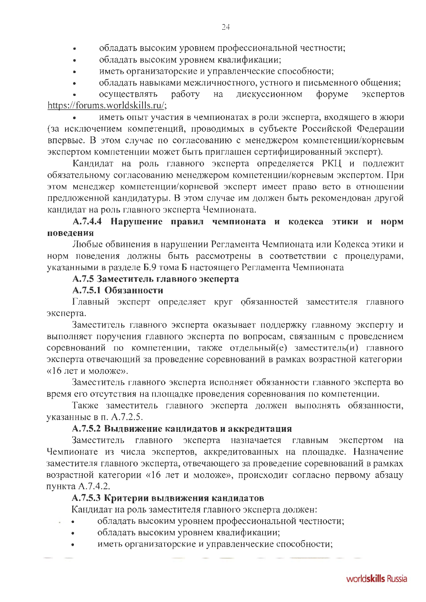- обладать высоким уровнем профессиональной честности;
- обладать высоким уровнем квалификации;
- иметь организаторские и управленческие способности;
- обладать навыками межличностного, устного и письменного общения;

осуществлять работу на дискуссионном форуме экспертов https://forums.worldskills.ru/;

иметь опыт участия в чемпионатах в роли эксперта, входящего в жюри (за исключением компетенций, проводимых в субъекте Российской Федерации впервые. В этом случае по согласованию с менеджером компетенции/корневым экспертом компетенции может быть приглашен сертифицированный эксперт).

Кандидат на роль главного эксперта определяется РКЦ и подлежит обязательному согласованию менеджером компетенции/корневым экспертом. При этом менеджер компетенции/корневой эксперт имеет право вето в отношении предложенной кандидатуры. В этом случае им должен быть рекомендован другой кандидат на роль главного эксперта Чемпионата.

# А.7.4.4 Нарушение правил чемпионата и кодекса этики и норм повеления

Любые обвинения в нарушении Регламента Чемпионата или Кодекса этики и норм поведения должны быть рассмотрены в соответствии с процедурами, указанными в разделе Б.9 тома Б настоящего Регламента Чемпионата

## А.7.5 Заместитель главного эксперта

#### А.7.5.1 Обязанности

Главный эксперт определяет круг обязанностей заместителя главного эксперта.

Заместитель главного эксперта оказывает поддержку главному эксперту и выполняет поручения главного эксперта по вопросам, связанным с проведением соревнований по компетенции, также отдельный(е) заместитель(и) главного эксперта отвечающий за проведение соревнований в рамках возрастной категории «16 лет и моложе».

Заместитель главного эксперта исполняет обязанности главного эксперта во время его отсутствия на площадке проведения соревнования по компетенции.

Также заместитель главного эксперта должен выполнять обязанности, указанные в п. А.7.2.5.

#### А.7.5.2 Выдвижение кандидатов и аккредитация

Заместитель главного эксперта назначается главным экспертом на Чемпионате из числа экспертов, аккредитованных на площадке. Назначение заместителя главного эксперта, отвечающего за проведение соревнований в рамках возрастной категории «16 лет и моложе», происходит согласно первому абзацу пункта А.7.4.2.

## А.7.5.3 Критерии выдвижения кандидатов

Кандидат на роль заместителя главного эксперта должен:

- обладать высоким уровнем профессиональной честности;
- обладать высоким уровнем квалификации;
- иметь организаторские и управленческие способности;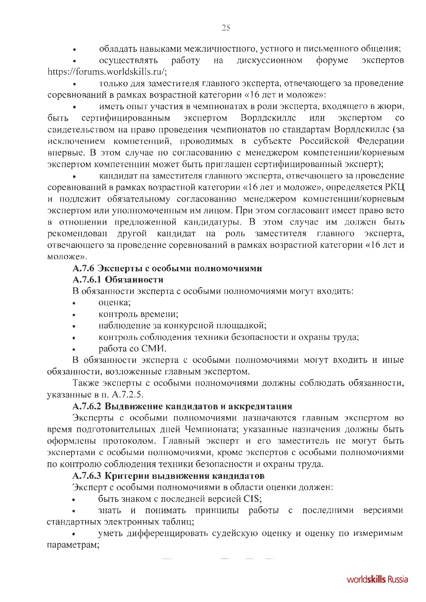обладать навыками межличностного, устного и письменного общения;

осуществлять работу на дискуссионном форуме экспертов https://forums.worldskills.ru/;

только для заместителя главного эксперта, отвечающего за проведение соревнований в рамках возрастной категории «16 лет и моложе»:

иметь опыт участия в чемпионатах в роли эксперта, входящего в жюри, сертифицированным экспертом Ворлдскиллс быть или экспертом  $\overline{c}$ свидетельством на право проведения чемпионатов по стандартам Ворлдскиллс (за исключением компетенций, проводимых в субъекте Российской Федерации впервые. В этом случае по согласованию с менеджером компетенции/корневым экспертом компетенции может быть приглашен сертифицированный эксперт);

кандидат на заместителя главного эксперта, отвечающего за проведение соревнований в рамках возрастной категории «16 лет и моложе», определяется РКЦ и подлежит обязательному согласованию менеджером компетенции/корневым экспертом или уполномоченным им лицом. При этом согласовант имеет право вето в отношении предложенной кандидатуры. В этом случае им должен быть рекомендован другой кандидат на роль заместителя главного эксперта, отвечающего за проведение соревнований в рамках возрастной категории «16 лет и моложе».

## А.7.6 Эксперты с особыми полномочиями

## А.7.6.1 Обязанности

В обязанности эксперта с особыми полномочиями могут входить:

- оценка:
- контроль времени;
- наблюдение за конкурсной площадкой;
- контроль соблюдения техники безопасности и охраны труда;
- работа со СМИ.

В обязанности эксперта с особыми полномочиями могут входить и иные обязанности, возложенные главным экспертом.

Также эксперты с особыми полномочиями должны соблюдать обязанности, указанные в п. А.7.2.5.

## А.7.6.2 Выдвижение кандидатов и аккредитация

Эксперты с особыми полномочиями назначаются главным экспертом во время подготовительных дней Чемпионата; указанные назначения должны быть оформлены протоколом. Главный эксперт и его заместитель не могут быть экспертами с особыми полномочиями, кроме экспертов с особыми полномочиями по контролю соблюдения техники безопасности и охраны труда.

# А.7.6.3 Критерии выдвижения кандидатов

Эксперт с особыми полномочиями в области оценки должен:

## быть знаком с последней версией CIS;

знать и понимать принципы работы с последними версиями стандартных электронных таблиц;

уметь дифференцировать судейскую оценку и оценку по измеримым параметрам;

25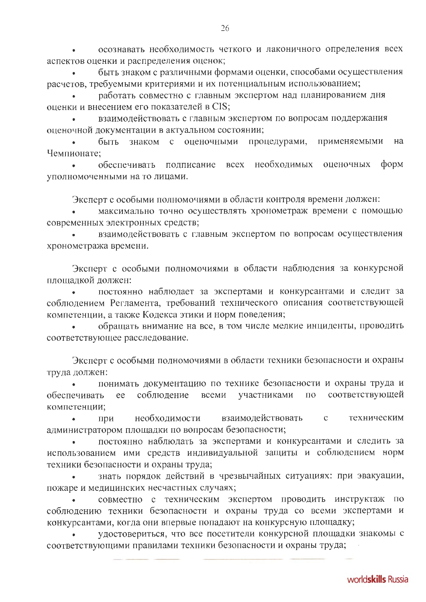осознавать необходимость четкого и лаконичного определения всех аспектов оценки и распределения оценок;

быть знаком с различными формами оценки, способами осуществления расчетов, требуемыми критериями и их потенциальным использованием;

работать совместно с главным экспертом над планированием дня оценки и внесением его показателей в CIS;

взаимодействовать с главным экспертом по вопросам поддержания оценочной документации в актуальном состоянии;

быть знаком с оценочными процедурами, применяемыми на Чемпионате:

обеспечивать подписание всех необходимых форм оценочных уполномоченными на то лицами.

Эксперт с особыми полномочиями в области контроля времени должен:

максимально точно осуществлять хронометраж времени с помощью современных электронных средств;

взаимодействовать с главным экспертом по вопросам осуществления хронометража времени.

Эксперт с особыми полномочиями в области наблюдения за конкурсной площадкой должен:

постоянно наблюдает за экспертами и конкурсантами и следит за соблюдением Регламента, требований технического описания соответствующей компетенции, а также Кодекса этики и норм поведения;

обращать внимание на все, в том числе мелкие инциденты, проводить соответствующее расследование.

Эксперт с особыми полномочиями в области техники безопасности и охраны труда должен:

понимать документацию по технике безопасности и охраны труда и соблюдение всеми участниками  $\Pi 0$ соответствующей обеспечивать ee компетенции;

взаимодействовать необходимости  $\mathbf{C}$ техническим при администратором площадки по вопросам безопасности;

постоянно наблюдать за экспертами и конкурсантами и следить за использованием ими средств индивидуальной защиты и соблюдением норм техники безопасности и охраны труда;

знать порядок действий в чрезвычайных ситуациях: при эвакуации, пожаре и медицинских несчастных случаях;

совместно с техническим экспертом проводить инструктаж по соблюдению техники безопасности и охраны труда со всеми экспертами и конкурсантами, когда они впервые попадают на конкурсную площадку;

удостовериться, что все посетители конкурсной площадки знакомы с соответствующими правилами техники безопасности и охраны труда;

worldskills Russia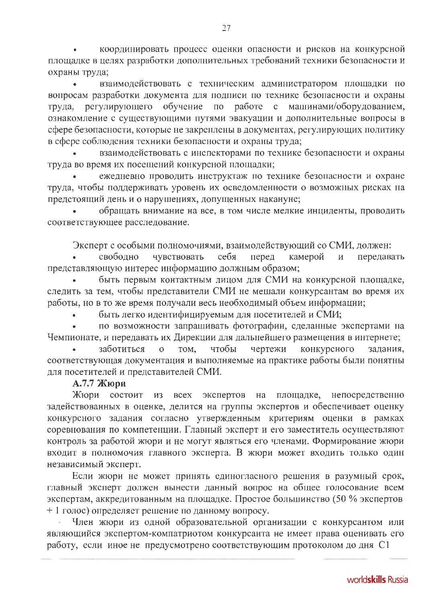координировать процесс оценки опасности и рисков на конкурсной площадке в целях разработки дополнительных требований техники безопасности и охраны труда;

взаимодействовать с техническим администратором площадки по вопросам разработки документа для подписи по технике безопасности и охраны регулирующего обучение по работе с машинами/оборудованием, труда, ознакомление с существующими путями эвакуации и дополнительные вопросы в сфере безопасности, которые не закреплены в документах, регулирующих политику в сфере соблюдения техники безопасности и охраны труда;

взаимодействовать с инспекторами по технике безопасности и охраны труда во время их посещений конкурсной площадки;

ежедневно проводить инструктаж по технике безопасности и охране труда, чтобы поддерживать уровень их осведомленности о возможных рисках на предстоящий день и о нарушениях, допущенных накануне;

обращать внимание на все, в том числе мелкие инциденты, проводить соответствующее расследование.

Эксперт с особыми полномочиями, взаимодействующий со СМИ, должен:

чувствовать себя своболно перед камерой  $\overline{M}$ передавать представляющую интерес информацию должным образом;

быть первым контактным лицом для СМИ на конкурсной площадке, следить за тем, чтобы представители СМИ не мешали конкурсантам во время их работы, но в то же время получали весь необходимый объем информации;

быть легко идентифицируемым для посетителей и СМИ;

по возможности запрашивать фотографии, сделанные экспертами на Чемпионате, и передавать их Дирекции для дальнейшего размещения в интернете;

конкурсного заботиться чтобы чертежи  $\overline{O}$ TOM, задания. соответствующая документация и выполняемые на практике работы были понятны для посетителей и представителей СМИ.

# А.7.7 Жюри

Жюри состоит из всех экспертов на площадке, непосредственно задействованных в оценке, делится на группы экспертов и обеспечивает оценку конкурсного задания согласно утвержденным критериям оценки в рамках соревнования по компетенции. Главный эксперт и его заместитель осуществляют контроль за работой жюри и не могут являться его членами. Формирование жюри входит в полномочия главного эксперта. В жюри может входить только один независимый эксперт.

Если жюри не может принять единогласного решения в разумный срок, главный эксперт должен вынести данный вопрос на общее голосование всем экспертам, аккредитованным на площадке. Простое большинство (50 % экспертов + 1 голос) определяет решение по данному вопросу.

Член жюри из одной образовательной организации с конкурсантом или являющийся экспертом-компатриотом конкурсанта не имеет права оценивать его работу, если иное не предусмотрено соответствующим протоколом до дня С1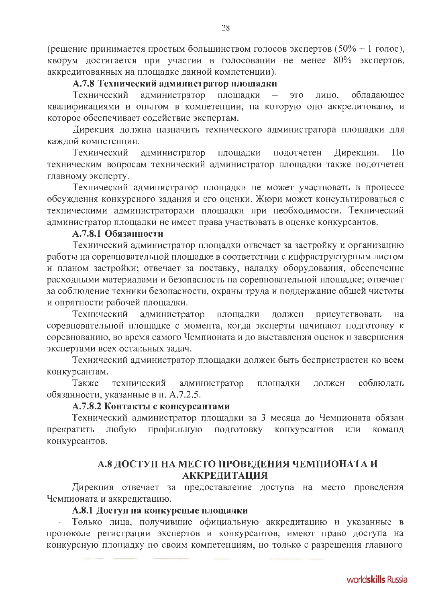(решение принимается простым большинством голосов экспертов (50% + 1 голос), кворум достигается при участии в голосовании не менее 80% экспертов, аккредитованных на площадке данной компетенции).

#### А.7.8 Технический администратор площадки

администратор площадки Технический ЭТО обладающее  $\overline{\phantom{0}}$ лицо. квалификациями и опытом в компетенции, на которую оно аккредитовано, и которое обеспечивает содействие экспертам.

Дирекция должна назначить технического администратора площадки для каждой компетенции.

Технический администратор площадки подотчетен Дирекции.  $\Pi$ <sub>o</sub> техническим вопросам технический администратор площадки также подотчетен главному эксперту.

Технический администратор площадки не может участвовать в процессе обсуждения конкурсного задания и его оценки. Жюри может консультироваться с техническими администраторами площадки при необходимости. Технический администратор площадки не имеет права участвовать в оценке конкурсантов.

#### А.7.8.1 Обязанности

Технический администратор площадки отвечает за застройку и организацию работы на соревновательной площадке в соответствии с инфраструктурным листом и планом застройки; отвечает за поставку, наладку оборудования, обеспечение расходными материалами и безопасность на соревновательной площадке; отвечает за соблюдение техники безопасности, охраны труда и поддержание общей чистоты и опрятности рабочей площадки.

Технический администратор площадки должен присутствовать на соревновательной площадке с момента, когда эксперты начинают подготовку к соревнованию, во время самого Чемпионата и до выставления оценок и завершения экспертами всех остальных задач.

Технический администратор площадки должен быть беспристрастен ко всем конкурсантам.

администратор Также технический соблюдать площадки лолжен обязанности, указанные в п. А.7.2.5.

#### А.7.8.2 Контакты с конкурсантами

Технический администратор площадки за 3 месяца до Чемпионата обязан профильную ПОДГОТОВКУ конкурсантов прекратить любую ИЛИ команд конкурсантов.

## А.8 ДОСТУП НА МЕСТО ПРОВЕДЕНИЯ ЧЕМПИОНАТА И **АККРЕДИТАЦИЯ**

Дирекция отвечает за предоставление доступа на место проведения Чемпионата и аккредитацию.

## А.8.1 Доступ на конкурсные площадки

Только лица, получившие официальную аккредитацию и указанные в протоколе регистрации экспертов и конкурсантов, имеют право доступа на конкурсную площадку по своим компетенциям, но только с разрешения главного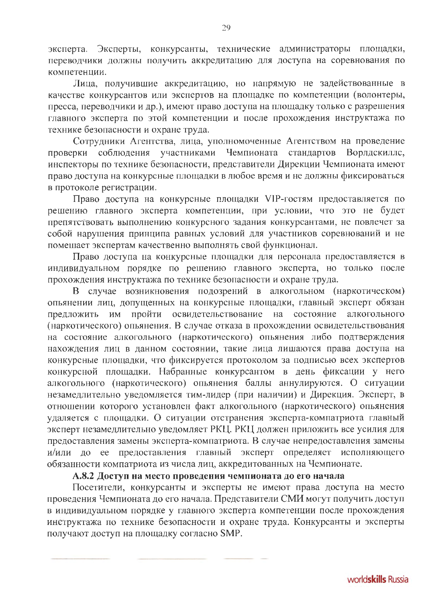эксперта. Эксперты, конкурсанты, технические администраторы площадки, переводчики должны получить аккредитацию для доступа на соревнования по компетенции.

Лица, получившие аккредитацию, но напрямую не задействованные в качестве конкурсантов или экспертов на площадке по компетенции (волонтеры, пресса, переводчики и др.), имеют право доступа на площадку только с разрешения главного эксперта по этой компетенции и после прохождения инструктажа по технике безопасности и охране труда.

Сотрудники Агентства, лица, уполномоченные Агентством на проведение проверки соблюдения участниками Чемпионата стандартов Ворлдскиллс, инспекторы по технике безопасности, представители Дирекции Чемпионата имеют право доступа на конкурсные площадки в любое время и не должны фиксироваться в протоколе регистрации.

Право доступа на конкурсные площадки VIP-гостям предоставляется по решению главного эксперта компетенции, при условии, что это не будет препятствовать выполнению конкурсного задания конкурсантами, не повлечет за собой нарушения принципа равных условий для участников соревнований и не помешает экспертам качественно выполнять свой функционал.

Право доступа на конкурсные площадки для персонала предоставляется в индивидуальном порядке по решению главного эксперта, но только после прохождения инструктажа по технике безопасности и охране труда.

В случае возникновения подозрений в алкогольном (наркотическом) опьянении лиц, допущенных на конкурсные площадки, главный эксперт обязан предложить им пройти освидетельствование на состояние алкогольного (наркотического) опьянения. В случае отказа в прохождении освидетельствования на состояние алкогольного (наркотического) опьянения либо подтверждения нахождения лиц в данном состоянии, такие лица лишаются права доступа на конкурсные площадки, что фиксируется протоколом за подписью всех экспертов конкурсной площадки. Набранные конкурсантом в день фиксации у него алкогольного (наркотического) опьянения баллы аннулируются. О ситуации незамедлительно уведомляется тим-лидер (при наличии) и Дирекция. Эксперт, в отношении которого установлен факт алкогольного (наркотического) опьянения удаляется с площадки. О ситуации отстранения эксперта-компатриота главный эксперт незамедлительно уведомляет РКЦ. РКЦ должен приложить все усилия для предоставления замены эксперта-компатриота. В случае непредоставления замены и/или до ее предоставления главный эксперт определяет исполняющего обязанности компатриота из числа лиц, аккредитованных на Чемпионате.

#### А.8.2 Доступ на место проведения чемпионата до его начала

Посетители, конкурсанты и эксперты не имеют права доступа на место проведения Чемпионата до его начала. Представители СМИ могут получить доступ в индивидуальном порядке у главного эксперта компетенции после прохождения инструктажа по технике безопасности и охране труда. Конкурсанты и эксперты получают доступ на площадку согласно SMP.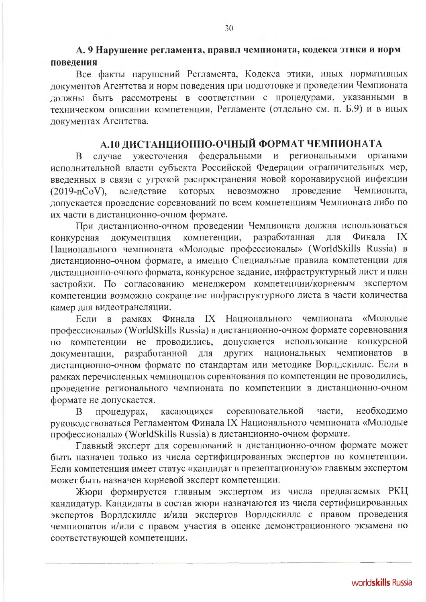## А. 9 Нарушение регламента, правил чемпионата, кодекса этики и норм повеления

Все факты нарушений Регламента, Кодекса этики, иных нормативных документов Агентства и норм поведения при подготовке и проведении Чемпионата должны быть рассмотрены в соответствии с процедурами, указанными в техническом описании компетенции, Регламенте (отдельно см. п. Б.9) и в иных документах Агентства.

# А.10 ДИСТАНЦИОННО-ОЧНЫЙ ФОРМАТ ЧЕМПИОНАТА

случае ужесточения федеральными и региональными органами B исполнительной власти субъекта Российской Федерации ограничительных мер, введенных в связи с угрозой распространения новой коронавирусной инфекции вследствие которых невозможно проведение Чемпионата,  $(2019 - nCoV)$ , допускается проведение соревнований по всем компетенциям Чемпионата либо по их части в дистанционно-очном формате.

При дистанционно-очном проведении Чемпионата должна использоваться компетенции, разработанная ДЛЯ IX документация Финала конкурсная Национального чемпионата «Молодые профессионалы» (WorldSkills Russia) в дистанционно-очном формате, а именно Специальные правила компетенции для дистанционно-очного формата, конкурсное задание, инфраструктурный лист и план застройки. По согласованию менеджером компетенции/корневым экспертом компетенции возможно сокращение инфраструктурного листа в части количества камер для видеотрансляции.

Если в рамках Финала IX Национального чемпионата «Молодые профессионалы» (WorldSkills Russia) в дистанционно-очном формате соревнования по компетенции не проводились, допускается использование конкурсной национальных чемпионатов документации, разработанной для других  $\overline{B}$ дистанционно-очном формате по стандартам или методике Ворлдскиллс. Если в рамках перечисленных чемпионатов соревнования по компетенции не проводились, проведение регионального чемпионата по компетенции в дистанционно-очном формате не допускается.

процедурах, касающихся соревновательной части. необходимо B руководствоваться Регламентом Финала IX Национального чемпионата «Молодые профессионалы» (WorldSkills Russia) в дистанционно-очном формате.

Главный эксперт для соревнований в дистанционно-очном формате может быть назначен только из числа сертифицированных экспертов по компетенции. Если компетенция имеет статус «кандидат в презентационную» главным экспертом может быть назначен корневой эксперт компетенции.

Жюри формируется главным экспертом из числа предлагаемых РКЦ кандидатур. Кандидаты в состав жюри назначаются из числа сертифицированных экспертов Ворлдскиллс и/или экспертов Ворлдскиллс с правом проведения чемпионатов и/или с правом участия в оценке демонстрационного экзамена по соответствующей компетенции.